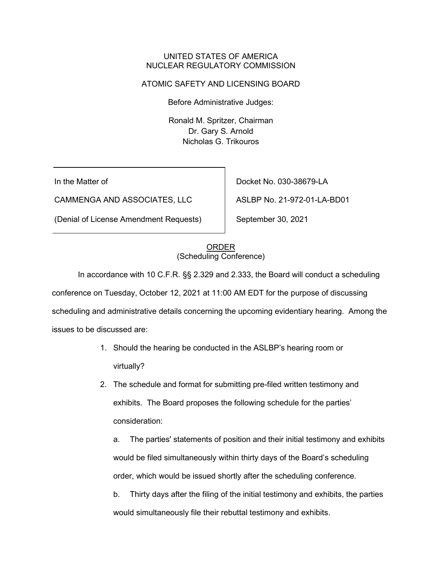### UNITED STATES OF AMERICA NUCLEAR REGULATORY COMMISSION

## ATOMIC SAFETY AND LICENSING BOARD

Before Administrative Judges:

Ronald M. Spritzer, Chairman Dr. Gary S. Arnold Nicholas G. Trikouros

In the Matter of

CAMMENGA AND ASSOCIATES, LLC

(Denial of License Amendment Requests)

Docket No. 030-38679-LA

ASLBP No. 21-972-01-LA-BD01

September 30, 2021

#### ORDER (Scheduling Conference)

In accordance with 10 C.F.R. §§ 2.329 and 2.333, the Board will conduct a scheduling

conference on Tuesday, October 12, 2021 at 11:00 AM EDT for the purpose of discussing scheduling and administrative details concerning the upcoming evidentiary hearing. Among the issues to be discussed are:

- 1. Should the hearing be conducted in the ASLBP's hearing room or virtually?
- 2. The schedule and format for submitting pre-filed written testimony and exhibits. The Board proposes the following schedule for the parties' consideration:

a. The parties' statements of position and their initial testimony and exhibits would be filed simultaneously within thirty days of the Board's scheduling order, which would be issued shortly after the scheduling conference.

b. Thirty days after the filing of the initial testimony and exhibits, the parties would simultaneously file their rebuttal testimony and exhibits.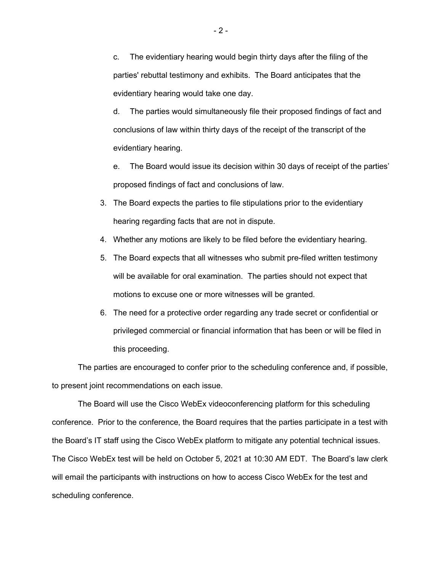c. The evidentiary hearing would begin thirty days after the filing of the parties' rebuttal testimony and exhibits. The Board anticipates that the evidentiary hearing would take one day.

d. The parties would simultaneously file their proposed findings of fact and conclusions of law within thirty days of the receipt of the transcript of the evidentiary hearing.

e. The Board would issue its decision within 30 days of receipt of the parties' proposed findings of fact and conclusions of law.

- 3. The Board expects the parties to file stipulations prior to the evidentiary hearing regarding facts that are not in dispute.
- 4. Whether any motions are likely to be filed before the evidentiary hearing.
- 5. The Board expects that all witnesses who submit pre-filed written testimony will be available for oral examination. The parties should not expect that motions to excuse one or more witnesses will be granted.
- 6. The need for a protective order regarding any trade secret or confidential or privileged commercial or financial information that has been or will be filed in this proceeding.

The parties are encouraged to confer prior to the scheduling conference and, if possible, to present joint recommendations on each issue.

The Board will use the Cisco WebEx videoconferencing platform for this scheduling conference. Prior to the conference, the Board requires that the parties participate in a test with the Board's IT staff using the Cisco WebEx platform to mitigate any potential technical issues. The Cisco WebEx test will be held on October 5, 2021 at 10:30 AM EDT. The Board's law clerk will email the participants with instructions on how to access Cisco WebEx for the test and scheduling conference.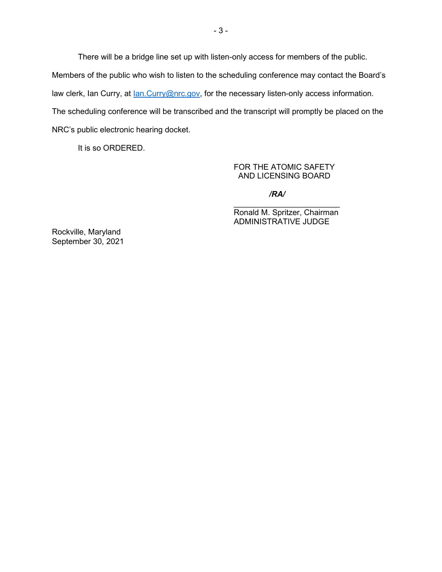There will be a bridge line set up with listen-only access for members of the public. Members of the public who wish to listen to the scheduling conference may contact the Board's law clerk, Ian Curry, at <u>Ian.Curry@nrc.gov</u>, for the necessary listen-only access information. The scheduling conference will be transcribed and the transcript will promptly be placed on the NRC's public electronic hearing docket.

It is so ORDERED.

FOR THE ATOMIC SAFETY AND LICENSING BOARD

*/RA/*

 $\overline{\phantom{a}}$  , where  $\overline{\phantom{a}}$  , where  $\overline{\phantom{a}}$  , where  $\overline{\phantom{a}}$ Ronald M. Spritzer, Chairman ADMINISTRATIVE JUDGE

Rockville, Maryland September 30, 2021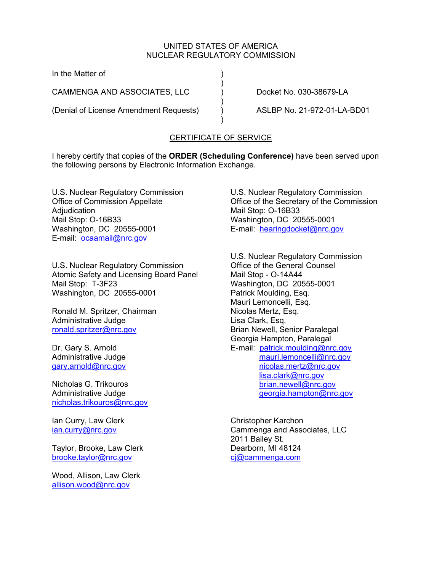## UNITED STATES OF AMERICA NUCLEAR REGULATORY COMMISSION

In the Matter of )

) and the contract of  $\mathcal{L}$ CAMMENGA AND ASSOCIATES, LLC ) Docket No. 030-38679-LA

(Denial of License Amendment Requests) ) ASLBP No. 21-972-01-LA-BD01

 $)$ 

) and the contract of  $\mathcal{L}$ 

# CERTIFICATE OF SERVICE

I hereby certify that copies of the **ORDER (Scheduling Conference)** have been served upon the following persons by Electronic Information Exchange.

U.S. Nuclear Regulatory Commission Office of Commission Appellate Adjudication Mail Stop: O-16B33 Washington, DC 20555-0001 E-mail: ocaamail@nrc.gov

U.S. Nuclear Regulatory Commission Atomic Safety and Licensing Board Panel Mail Stop: T-3F23 Washington, DC 20555-0001

Ronald M. Spritzer, Chairman Administrative Judge ronald.spritzer@nrc.gov

Dr. Gary S. Arnold Administrative Judge gary.arnold@nrc.gov

Nicholas G. Trikouros Administrative Judge nicholas.trikouros@nrc.gov

Ian Curry, Law Clerk ian.curry@nrc.gov

Taylor, Brooke, Law Clerk brooke.taylor@nrc.gov

Wood, Allison, Law Clerk allison.wood@nrc.gov

U.S. Nuclear Regulatory Commission Office of the Secretary of the Commission Mail Stop: O-16B33 Washington, DC 20555-0001 E-mail: hearingdocket@nrc.gov

U.S. Nuclear Regulatory Commission Office of the General Counsel Mail Stop - O-14A44 Washington, DC 20555-0001 Patrick Moulding, Esq. Mauri Lemoncelli, Esq. Nicolas Mertz, Esq. Lisa Clark, Esq. Brian Newell, Senior Paralegal Georgia Hampton, Paralegal E-mail: patrick.moulding@nrc.gov mauri.lemoncelli@nrc.gov nicolas.mertz@nrc.gov lisa.clark@nrc.gov brian.newell@nrc.gov georgia.hampton@nrc.gov

Christopher Karchon Cammenga and Associates, LLC 2011 Bailey St. Dearborn, MI 48124 cj@cammenga.com